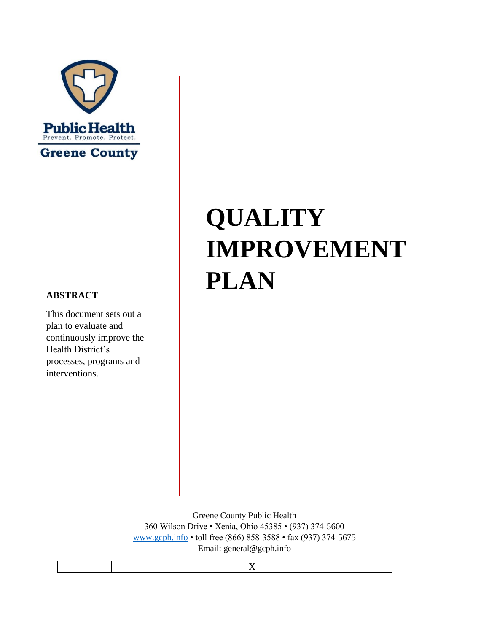

#### **ABSTRACT**

This document sets out a plan to evaluate and continuously improve the Health District's processes, programs and interventions.

# **QUALITY IMPROVEMENT PLAN**

Greene County Public Health 360 Wilson Drive • Xenia, Ohio 45385 • (937) 374-5600 [www.gcph.](http://www.gcph/)info • toll free (866) 858-3588 • fax (937) 374-5675 Email: general@gcph.info

X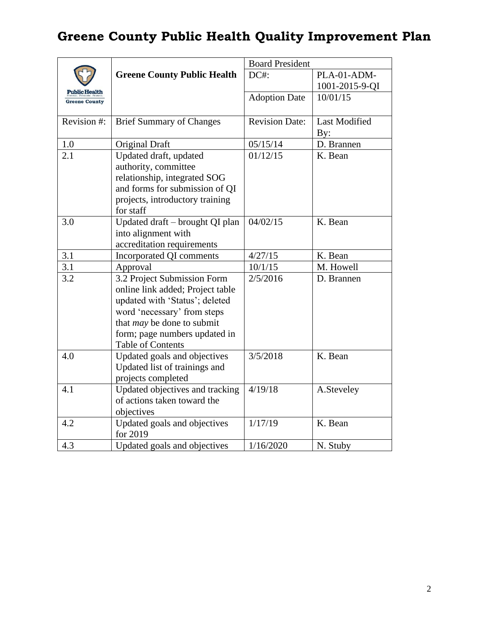|                      |                                                    | <b>Board President</b> |                      |
|----------------------|----------------------------------------------------|------------------------|----------------------|
|                      | <b>Greene County Public Health</b>                 | DC#:                   | PLA-01-ADM-          |
| <b>Public Health</b> |                                                    |                        | 1001-2015-9-QI       |
| <b>Greene County</b> |                                                    | <b>Adoption Date</b>   | 10/01/15             |
|                      |                                                    |                        |                      |
| Revision #:          | <b>Brief Summary of Changes</b>                    | <b>Revision Date:</b>  | <b>Last Modified</b> |
|                      |                                                    |                        | By:                  |
| $1.0\,$              | Original Draft                                     | 05/15/14               | D. Brannen           |
| 2.1                  | Updated draft, updated                             | 01/12/15               | K. Bean              |
|                      | authority, committee                               |                        |                      |
|                      | relationship, integrated SOG                       |                        |                      |
|                      | and forms for submission of QI                     |                        |                      |
|                      | projects, introductory training                    |                        |                      |
|                      | for staff                                          |                        |                      |
| 3.0                  | Updated draft - brought QI plan                    | 04/02/15               | K. Bean              |
|                      | into alignment with                                |                        |                      |
|                      | accreditation requirements                         |                        |                      |
| 3.1                  | Incorporated QI comments                           | 4/27/15                | K. Bean              |
| 3.1                  | Approval                                           | 10/1/15                | M. Howell            |
| 3.2                  | 3.2 Project Submission Form                        | 2/5/2016               | D. Brannen           |
|                      | online link added; Project table                   |                        |                      |
|                      | updated with 'Status'; deleted                     |                        |                      |
|                      | word 'necessary' from steps                        |                        |                      |
|                      | that <i>may</i> be done to submit                  |                        |                      |
|                      | form; page numbers updated in<br>Table of Contents |                        |                      |
| 4.0                  | Updated goals and objectives                       | 3/5/2018               | K. Bean              |
|                      | Updated list of trainings and                      |                        |                      |
|                      | projects completed                                 |                        |                      |
| 4.1                  | Updated objectives and tracking                    | 4/19/18                | A.Steveley           |
|                      | of actions taken toward the                        |                        |                      |
|                      | objectives                                         |                        |                      |
| 4.2                  | Updated goals and objectives                       | 1/17/19                | K. Bean              |
|                      | for 2019                                           |                        |                      |
| 4.3                  | Updated goals and objectives                       | 1/16/2020              | N. Stuby             |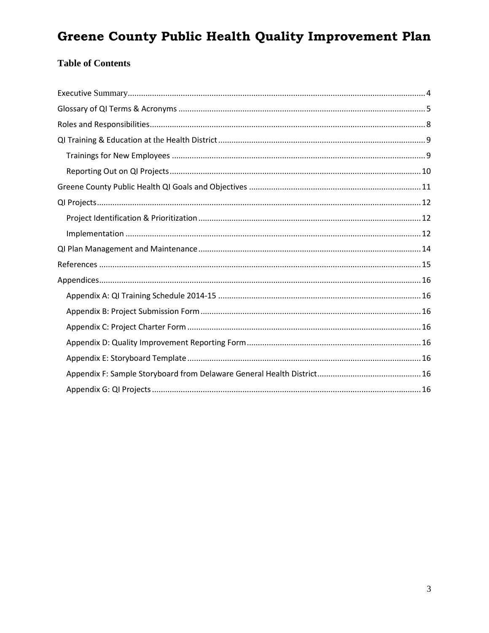#### **Table of Contents**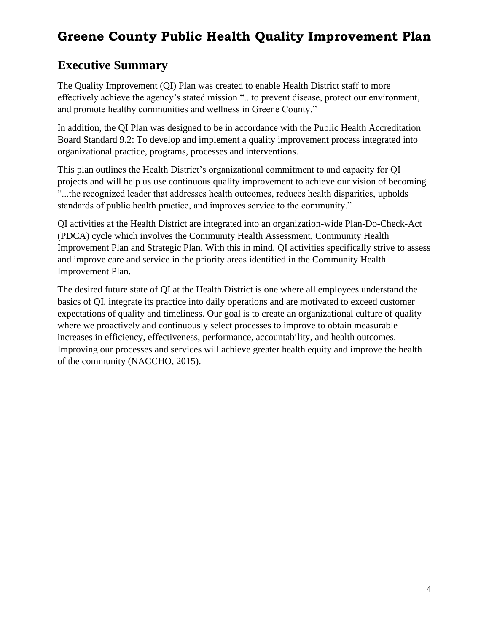#### <span id="page-3-0"></span>**Executive Summary**

The Quality Improvement (QI) Plan was created to enable Health District staff to more effectively achieve the agency's stated mission "...to prevent disease, protect our environment, and promote healthy communities and wellness in Greene County."

In addition, the QI Plan was designed to be in accordance with the Public Health Accreditation Board Standard 9.2: To develop and implement a quality improvement process integrated into organizational practice, programs, processes and interventions.

This plan outlines the Health District's organizational commitment to and capacity for QI projects and will help us use continuous quality improvement to achieve our vision of becoming "...the recognized leader that addresses health outcomes, reduces health disparities, upholds standards of public health practice, and improves service to the community."

QI activities at the Health District are integrated into an organization-wide Plan-Do-Check-Act (PDCA) cycle which involves the Community Health Assessment, Community Health Improvement Plan and Strategic Plan. With this in mind, QI activities specifically strive to assess and improve care and service in the priority areas identified in the Community Health Improvement Plan.

The desired future state of QI at the Health District is one where all employees understand the basics of QI, integrate its practice into daily operations and are motivated to exceed customer expectations of quality and timeliness. Our goal is to create an organizational culture of quality where we proactively and continuously select processes to improve to obtain measurable increases in efficiency, effectiveness, performance, accountability, and health outcomes. Improving our processes and services will achieve greater health equity and improve the health of the community (NACCHO, 2015).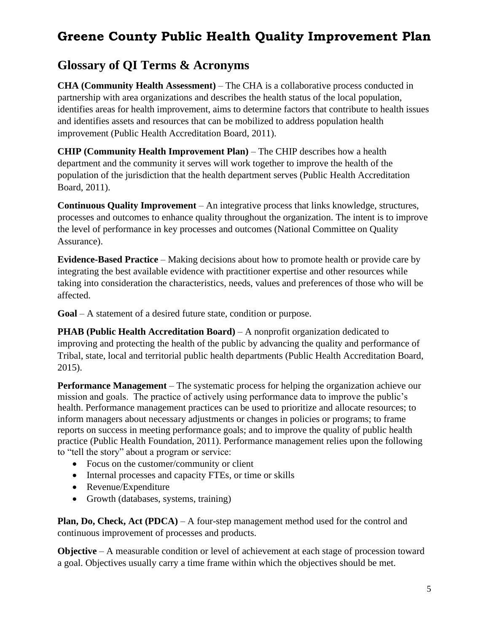#### <span id="page-4-0"></span>**Glossary of QI Terms & Acronyms**

**CHA (Community Health Assessment)** – The CHA is a collaborative process conducted in partnership with area organizations and describes the health status of the local population, identifies areas for health improvement, aims to determine factors that contribute to health issues and identifies assets and resources that can be mobilized to address population health improvement (Public Health Accreditation Board, 2011).

**CHIP (Community Health Improvement Plan)** – The CHIP describes how a health department and the community it serves will work together to improve the health of the population of the jurisdiction that the health department serves (Public Health Accreditation Board, 2011).

**Continuous Quality Improvement** – An integrative process that links knowledge, structures, processes and outcomes to enhance quality throughout the organization. The intent is to improve the level of performance in key processes and outcomes (National Committee on Quality Assurance).

**Evidence-Based Practice** – Making decisions about how to promote health or provide care by integrating the best available evidence with practitioner expertise and other resources while taking into consideration the characteristics, needs, values and preferences of those who will be affected.

**Goal** – A statement of a desired future state, condition or purpose.

**PHAB (Public Health Accreditation Board)** – A nonprofit organization dedicated to improving and protecting the health of the public by advancing the quality and performance of Tribal, state, local and territorial public health departments (Public Health Accreditation Board, 2015).

**Performance Management** – The systematic process for helping the organization achieve our mission and goals. The practice of actively using performance data to improve the public's health. Performance management practices can be used to prioritize and allocate resources; to inform managers about necessary adjustments or changes in policies or programs; to frame reports on success in meeting performance goals; and to improve the quality of public health practice (Public Health Foundation, 2011). Performance management relies upon the following to "tell the story" about a program or service:

- Focus on the customer/community or client
- Internal processes and capacity FTEs, or time or skills
- Revenue/Expenditure
- Growth (databases, systems, training)

**Plan, Do, Check, Act (PDCA)** – A four-step management method used for the control and continuous improvement of processes and products.

**Objective** – A measurable condition or level of achievement at each stage of procession toward a goal. Objectives usually carry a time frame within which the objectives should be met.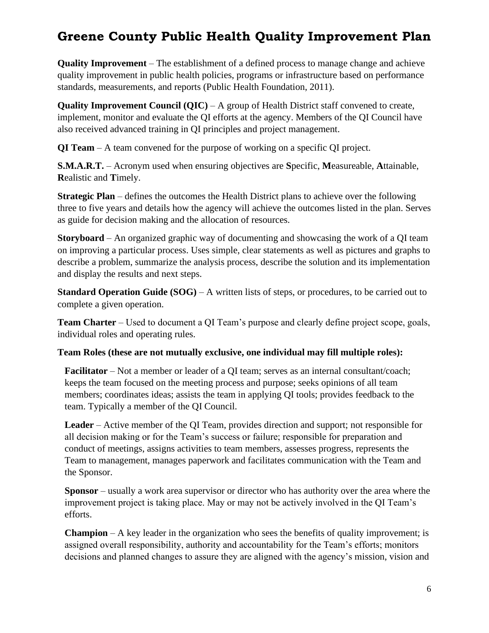**Quality Improvement** – The establishment of a defined process to manage change and achieve quality improvement in public health policies, programs or infrastructure based on performance standards, measurements, and reports (Public Health Foundation, 2011).

**Quality Improvement Council (QIC)** – A group of Health District staff convened to create, implement, monitor and evaluate the QI efforts at the agency. Members of the QI Council have also received advanced training in QI principles and project management.

**QI Team** – A team convened for the purpose of working on a specific QI project.

**S.M.A.R.T.** – Acronym used when ensuring objectives are **S**pecific, **M**easureable, **A**ttainable, **R**ealistic and **T**imely.

**Strategic Plan** – defines the outcomes the Health District plans to achieve over the following three to five years and details how the agency will achieve the outcomes listed in the plan. Serves as guide for decision making and the allocation of resources.

**Storyboard** – An organized graphic way of documenting and showcasing the work of a QI team on improving a particular process. Uses simple, clear statements as well as pictures and graphs to describe a problem, summarize the analysis process, describe the solution and its implementation and display the results and next steps.

**Standard Operation Guide (SOG)** – A written lists of steps, or procedures, to be carried out to complete a given operation.

**Team Charter** – Used to document a QI Team's purpose and clearly define project scope, goals, individual roles and operating rules.

#### **Team Roles (these are not mutually exclusive, one individual may fill multiple roles):**

**Facilitator** – Not a member or leader of a QI team; serves as an internal consultant/coach; keeps the team focused on the meeting process and purpose; seeks opinions of all team members; coordinates ideas; assists the team in applying QI tools; provides feedback to the team. Typically a member of the QI Council.

**Leader** – Active member of the QI Team, provides direction and support; not responsible for all decision making or for the Team's success or failure; responsible for preparation and conduct of meetings, assigns activities to team members, assesses progress, represents the Team to management, manages paperwork and facilitates communication with the Team and the Sponsor.

**Sponsor** – usually a work area supervisor or director who has authority over the area where the improvement project is taking place. May or may not be actively involved in the QI Team's efforts.

**Champion** – A key leader in the organization who sees the benefits of quality improvement; is assigned overall responsibility, authority and accountability for the Team's efforts; monitors decisions and planned changes to assure they are aligned with the agency's mission, vision and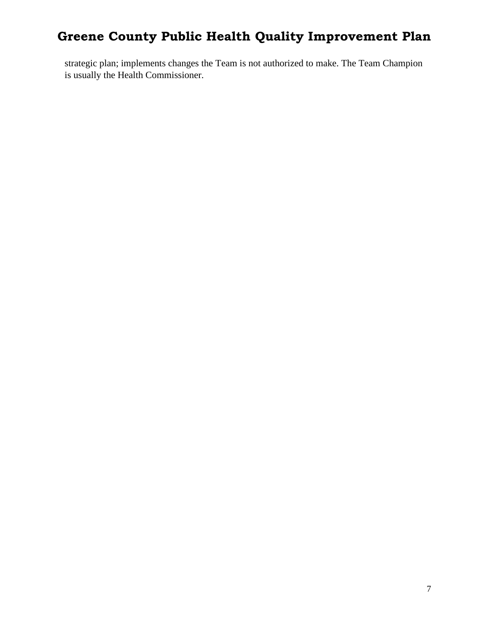strategic plan; implements changes the Team is not authorized to make. The Team Champion is usually the Health Commissioner.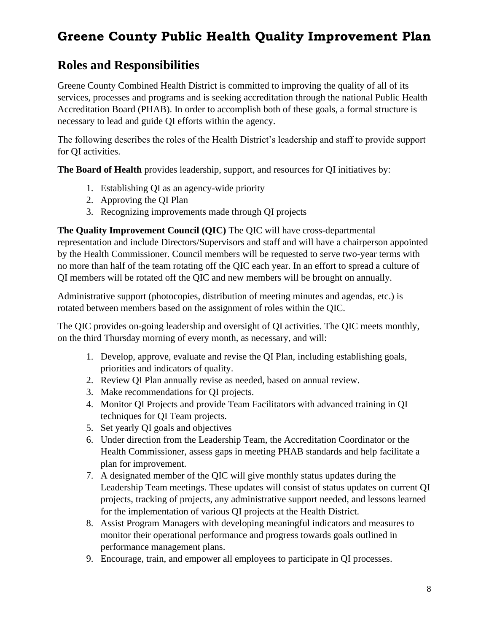#### <span id="page-7-0"></span>**Roles and Responsibilities**

Greene County Combined Health District is committed to improving the quality of all of its services, processes and programs and is seeking accreditation through the national Public Health Accreditation Board (PHAB). In order to accomplish both of these goals, a formal structure is necessary to lead and guide QI efforts within the agency.

The following describes the roles of the Health District's leadership and staff to provide support for QI activities.

**The Board of Health** provides leadership, support, and resources for QI initiatives by:

- 1. Establishing QI as an agency-wide priority
- 2. Approving the QI Plan
- 3. Recognizing improvements made through QI projects

**The Quality Improvement Council (QIC)** The QIC will have cross-departmental representation and include Directors/Supervisors and staff and will have a chairperson appointed by the Health Commissioner. Council members will be requested to serve two-year terms with no more than half of the team rotating off the QIC each year. In an effort to spread a culture of QI members will be rotated off the QIC and new members will be brought on annually.

Administrative support (photocopies, distribution of meeting minutes and agendas, etc.) is rotated between members based on the assignment of roles within the QIC.

The QIC provides on-going leadership and oversight of QI activities. The QIC meets monthly, on the third Thursday morning of every month, as necessary, and will:

- 1. Develop, approve, evaluate and revise the QI Plan, including establishing goals, priorities and indicators of quality.
- 2. Review QI Plan annually revise as needed, based on annual review.
- 3. Make recommendations for QI projects.
- 4. Monitor QI Projects and provide Team Facilitators with advanced training in QI techniques for QI Team projects.
- 5. Set yearly QI goals and objectives
- 6. Under direction from the Leadership Team, the Accreditation Coordinator or the Health Commissioner, assess gaps in meeting PHAB standards and help facilitate a plan for improvement.
- 7. A designated member of the QIC will give monthly status updates during the Leadership Team meetings. These updates will consist of status updates on current QI projects, tracking of projects, any administrative support needed, and lessons learned for the implementation of various QI projects at the Health District.
- 8. Assist Program Managers with developing meaningful indicators and measures to monitor their operational performance and progress towards goals outlined in performance management plans.
- 9. Encourage, train, and empower all employees to participate in QI processes.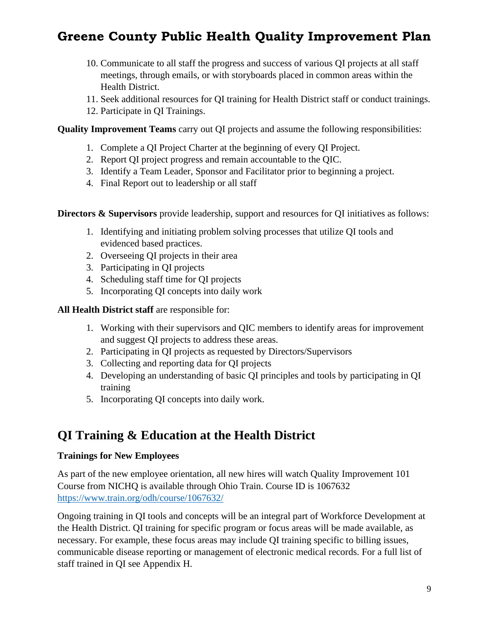- 10. Communicate to all staff the progress and success of various QI projects at all staff meetings, through emails, or with storyboards placed in common areas within the Health District.
- 11. Seek additional resources for QI training for Health District staff or conduct trainings.
- 12. Participate in QI Trainings.

**Quality Improvement Teams** carry out QI projects and assume the following responsibilities:

- 1. Complete a QI Project Charter at the beginning of every QI Project.
- 2. Report QI project progress and remain accountable to the QIC.
- 3. Identify a Team Leader, Sponsor and Facilitator prior to beginning a project.
- 4. Final Report out to leadership or all staff

**Directors & Supervisors** provide leadership, support and resources for OI initiatives as follows:

- 1. Identifying and initiating problem solving processes that utilize QI tools and evidenced based practices.
- 2. Overseeing QI projects in their area
- 3. Participating in QI projects
- 4. Scheduling staff time for QI projects
- 5. Incorporating QI concepts into daily work

**All Health District staff** are responsible for:

- 1. Working with their supervisors and QIC members to identify areas for improvement and suggest QI projects to address these areas.
- 2. Participating in QI projects as requested by Directors/Supervisors
- 3. Collecting and reporting data for QI projects
- 4. Developing an understanding of basic QI principles and tools by participating in QI training
- <span id="page-8-0"></span>5. Incorporating QI concepts into daily work.

#### **QI Training & Education at the Health District**

#### <span id="page-8-1"></span>**Trainings for New Employees**

As part of the new employee orientation, all new hires will watch Quality Improvement 101 Course from NICHQ is available through Ohio Train. Course ID is 1067632 <https://www.train.org/odh/course/1067632/> 

Ongoing training in QI tools and concepts will be an integral part of Workforce Development at the Health District. QI training for specific program or focus areas will be made available, as necessary. For example, these focus areas may include QI training specific to billing issues, communicable disease reporting or management of electronic medical records. For a full list of staff trained in QI see Appendix H.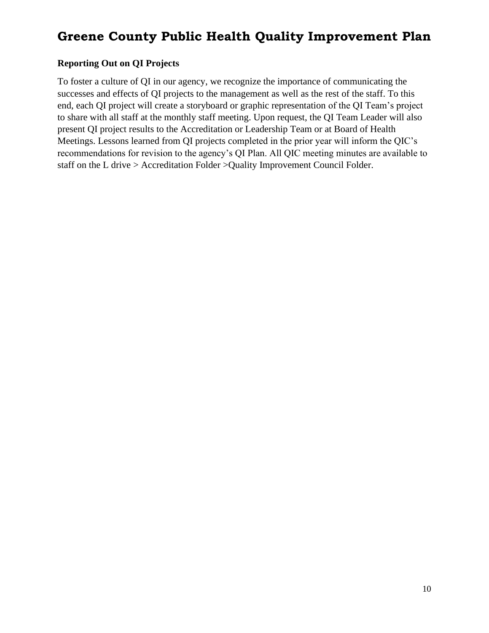#### <span id="page-9-0"></span>**Reporting Out on QI Projects**

To foster a culture of QI in our agency, we recognize the importance of communicating the successes and effects of QI projects to the management as well as the rest of the staff. To this end, each QI project will create a storyboard or graphic representation of the QI Team's project to share with all staff at the monthly staff meeting. Upon request, the QI Team Leader will also present QI project results to the Accreditation or Leadership Team or at Board of Health Meetings. Lessons learned from QI projects completed in the prior year will inform the QIC's recommendations for revision to the agency's QI Plan. All QIC meeting minutes are available to staff on the L drive > Accreditation Folder >Quality Improvement Council Folder.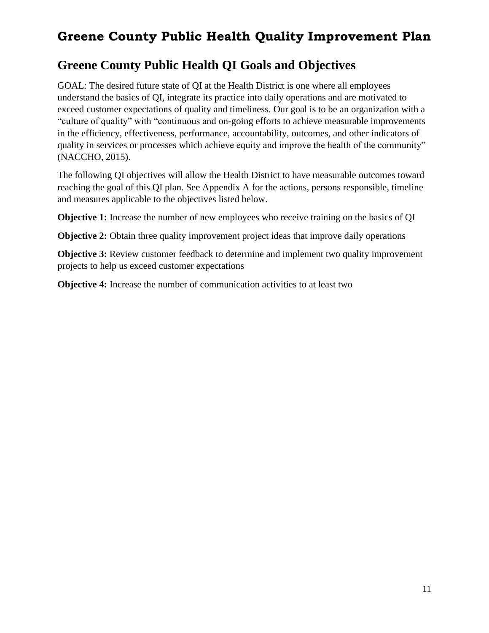#### <span id="page-10-0"></span>**Greene County Public Health QI Goals and Objectives**

GOAL: The desired future state of QI at the Health District is one where all employees understand the basics of QI, integrate its practice into daily operations and are motivated to exceed customer expectations of quality and timeliness. Our goal is to be an organization with a "culture of quality" with "continuous and on-going efforts to achieve measurable improvements in the efficiency, effectiveness, performance, accountability, outcomes, and other indicators of quality in services or processes which achieve equity and improve the health of the community" (NACCHO, 2015).

The following QI objectives will allow the Health District to have measurable outcomes toward reaching the goal of this QI plan. See Appendix A for the actions, persons responsible, timeline and measures applicable to the objectives listed below.

**Objective 1:** Increase the number of new employees who receive training on the basics of QI

**Objective 2:** Obtain three quality improvement project ideas that improve daily operations

**Objective 3:** Review customer feedback to determine and implement two quality improvement projects to help us exceed customer expectations

**Objective 4:** Increase the number of communication activities to at least two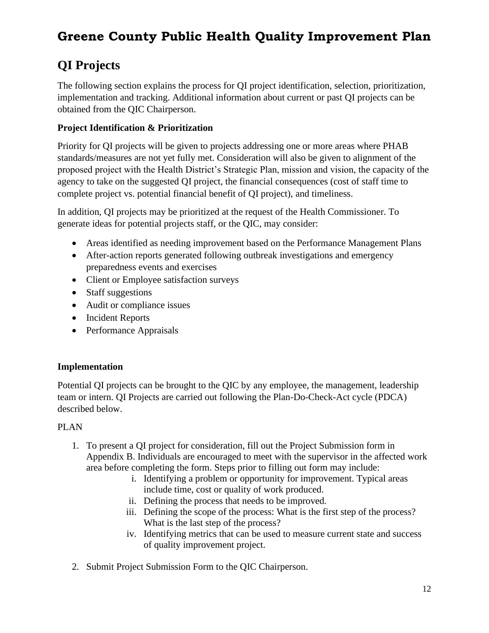### <span id="page-11-0"></span>**QI Projects**

The following section explains the process for QI project identification, selection, prioritization, implementation and tracking. Additional information about current or past QI projects can be obtained from the QIC Chairperson.

#### <span id="page-11-1"></span>**Project Identification & Prioritization**

Priority for QI projects will be given to projects addressing one or more areas where PHAB standards/measures are not yet fully met. Consideration will also be given to alignment of the proposed project with the Health District's Strategic Plan, mission and vision, the capacity of the agency to take on the suggested QI project, the financial consequences (cost of staff time to complete project vs. potential financial benefit of QI project), and timeliness.

In addition, QI projects may be prioritized at the request of the Health Commissioner. To generate ideas for potential projects staff, or the QIC, may consider:

- Areas identified as needing improvement based on the Performance Management Plans
- After-action reports generated following outbreak investigations and emergency preparedness events and exercises
- Client or Employee satisfaction surveys
- Staff suggestions
- Audit or compliance issues
- Incident Reports
- Performance Appraisals

#### <span id="page-11-2"></span>**Implementation**

Potential QI projects can be brought to the QIC by any employee, the management, leadership team or intern. QI Projects are carried out following the Plan-Do-Check-Act cycle (PDCA) described below.

#### PLAN

- 1. To present a QI project for consideration, fill out the Project Submission form in Appendix B. Individuals are encouraged to meet with the supervisor in the affected work area before completing the form. Steps prior to filling out form may include:
	- i. Identifying a problem or opportunity for improvement. Typical areas include time, cost or quality of work produced.
	- ii. Defining the process that needs to be improved.
	- iii. Defining the scope of the process: What is the first step of the process? What is the last step of the process?
	- iv. Identifying metrics that can be used to measure current state and success of quality improvement project.
- 2. Submit Project Submission Form to the QIC Chairperson.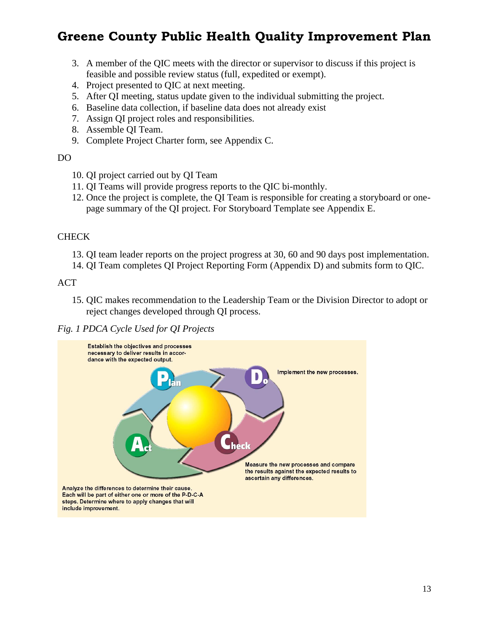- 3. A member of the QIC meets with the director or supervisor to discuss if this project is feasible and possible review status (full, expedited or exempt).
- 4. Project presented to QIC at next meeting.
- 5. After QI meeting, status update given to the individual submitting the project.
- 6. Baseline data collection, if baseline data does not already exist
- 7. Assign QI project roles and responsibilities.
- 8. Assemble QI Team.
- 9. Complete Project Charter form, see Appendix C.

#### DO

- 10. QI project carried out by QI Team
- 11. QI Teams will provide progress reports to the QIC bi-monthly.
- 12. Once the project is complete, the QI Team is responsible for creating a storyboard or onepage summary of the QI project. For Storyboard Template see Appendix E.

#### **CHECK**

- 13. QI team leader reports on the project progress at 30, 60 and 90 days post implementation.
- 14. QI Team completes QI Project Reporting Form (Appendix D) and submits form to QIC.

ACT

15. QIC makes recommendation to the Leadership Team or the Division Director to adopt or reject changes developed through QI process.

#### *Fig. 1 PDCA Cycle Used for QI Projects*

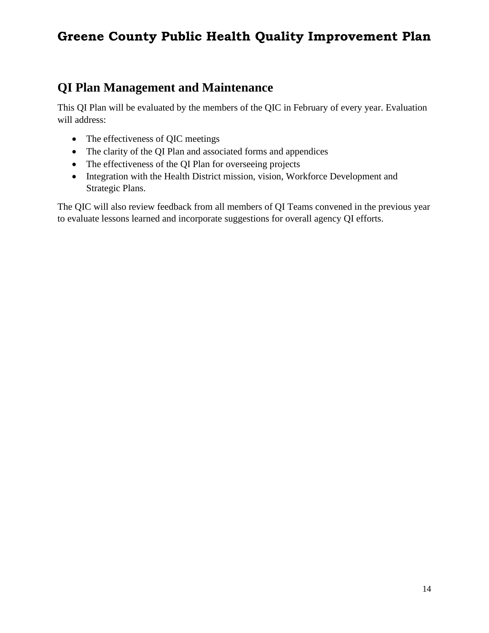#### <span id="page-13-0"></span>**QI Plan Management and Maintenance**

This QI Plan will be evaluated by the members of the QIC in February of every year. Evaluation will address:

- The effectiveness of QIC meetings
- The clarity of the QI Plan and associated forms and appendices
- The effectiveness of the QI Plan for overseeing projects
- Integration with the Health District mission, vision, Workforce Development and Strategic Plans.

The QIC will also review feedback from all members of QI Teams convened in the previous year to evaluate lessons learned and incorporate suggestions for overall agency QI efforts.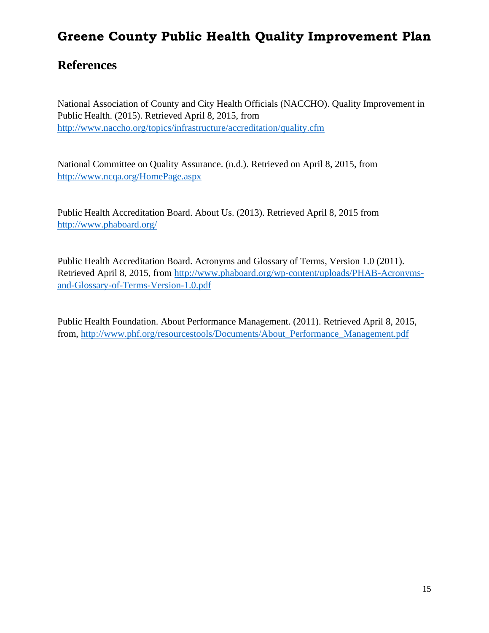#### <span id="page-14-0"></span>**References**

National Association of County and City Health Officials (NACCHO). Quality Improvement in Public Health. (2015). Retrieved April 8, 2015, from <http://www.naccho.org/topics/infrastructure/accreditation/quality.cfm>

National Committee on Quality Assurance. (n.d.). Retrieved on April 8, 2015, from <http://www.ncqa.org/HomePage.aspx>

Public Health Accreditation Board. About Us. (2013). Retrieved April 8, 2015 from [http://www.phaboard.org/](http://www.phaboard.org/about-phab/)

Public Health Accreditation Board. Acronyms and Glossary of Terms, Version 1.0 (2011). Retrieved April 8, 2015, from [http://www.phaboard.org/wp-content/uploads/PHAB-Acronyms](http://www.phaboard.org/wp-content/uploads/PHAB-Acronyms-and-Glossary-of-Terms-Version-1.0.pdf)[and-Glossary-of-Terms-Version-1.0.pdf](http://www.phaboard.org/wp-content/uploads/PHAB-Acronyms-and-Glossary-of-Terms-Version-1.0.pdf)

Public Health Foundation. About Performance Management. (2011). Retrieved April 8, 2015, from, [http://www.phf.org/resourcestools/Documents/About\\_Performance\\_Management.pdf](http://www.phf.org/resourcestools/Documents/About_Performance_Management.pdf)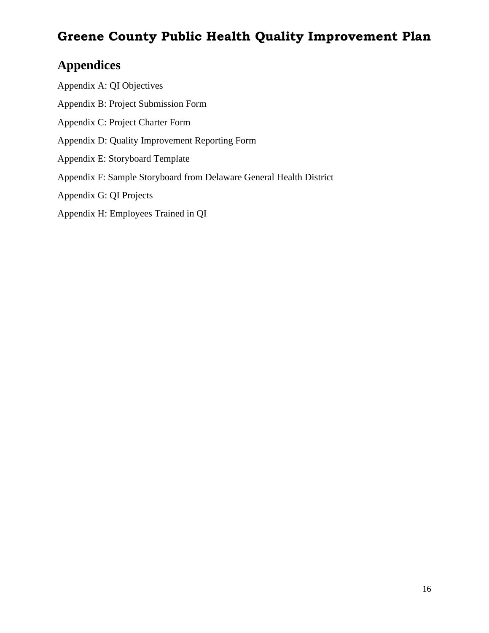# <span id="page-15-0"></span>**Appendices**

<span id="page-15-7"></span><span id="page-15-6"></span><span id="page-15-5"></span><span id="page-15-4"></span><span id="page-15-3"></span><span id="page-15-2"></span><span id="page-15-1"></span>Appendix A: QI Objectives Appendix B: Project Submission Form Appendix C: Project Charter Form Appendix D: Quality Improvement Reporting Form Appendix E: Storyboard Template Appendix F: Sample Storyboard from Delaware General Health District Appendix G: QI Projects Appendix H: Employees Trained in QI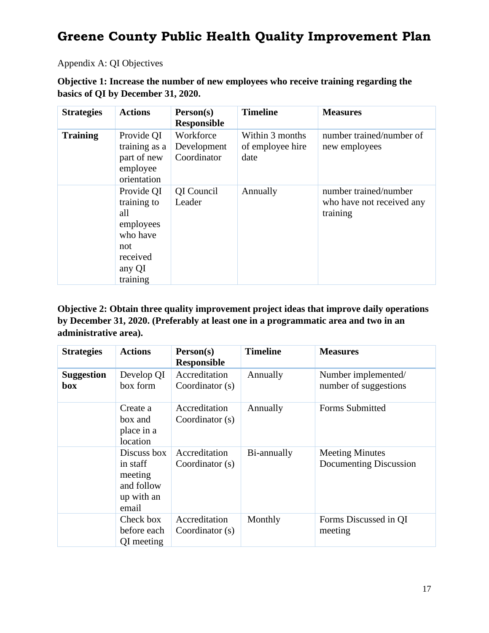#### Appendix A: QI Objectives

**Objective 1: Increase the number of new employees who receive training regarding the basics of QI by December 31, 2020.** 

| <b>Strategies</b> | <b>Actions</b>                                                                                     | Person(s)<br><b>Responsible</b>         | <b>Timeline</b>                             | <b>Measures</b>                                                |
|-------------------|----------------------------------------------------------------------------------------------------|-----------------------------------------|---------------------------------------------|----------------------------------------------------------------|
| <b>Training</b>   | Provide QI<br>training as a<br>part of new<br>employee<br>orientation                              | Workforce<br>Development<br>Coordinator | Within 3 months<br>of employee hire<br>date | number trained/number of<br>new employees                      |
|                   | Provide QI<br>training to<br>all<br>employees<br>who have<br>not<br>received<br>any QI<br>training | QI Council<br>Leader                    | Annually                                    | number trained/number<br>who have not received any<br>training |

**Objective 2: Obtain three quality improvement project ideas that improve daily operations by December 31, 2020. (Preferably at least one in a programmatic area and two in an administrative area).**

| <b>Strategies</b>        | <b>Actions</b>                                                          | Person(s)<br><b>Responsible</b>    | <b>Timeline</b> | <b>Measures</b>                                  |
|--------------------------|-------------------------------------------------------------------------|------------------------------------|-----------------|--------------------------------------------------|
| <b>Suggestion</b><br>box | Develop QI<br>box form                                                  | Accreditation<br>Coordinator $(s)$ | Annually        | Number implemented/<br>number of suggestions     |
|                          | Create a<br>box and<br>place in a<br>location                           | Accreditation<br>Coordinator (s)   | Annually        | Forms Submitted                                  |
|                          | Discuss box<br>in staff<br>meeting<br>and follow<br>up with an<br>email | Accreditation<br>Coordinator $(s)$ | Bi-annually     | <b>Meeting Minutes</b><br>Documenting Discussion |
|                          | Check box<br>before each<br>QI meeting                                  | Accreditation<br>Coordinator $(s)$ | Monthly         | Forms Discussed in QI<br>meeting                 |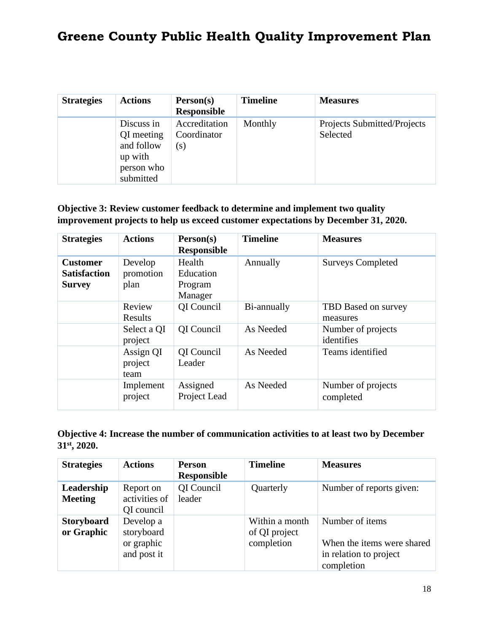| <b>Strategies</b> | <b>Actions</b>                                                               | Person(s)<br><b>Responsible</b>     | <b>Timeline</b> | <b>Measures</b>                                |
|-------------------|------------------------------------------------------------------------------|-------------------------------------|-----------------|------------------------------------------------|
|                   | Discuss in<br>QI meeting<br>and follow<br>up with<br>person who<br>submitted | Accreditation<br>Coordinator<br>(s) | Monthly         | <b>Projects Submitted/Projects</b><br>Selected |

#### **Objective 3: Review customer feedback to determine and implement two quality improvement projects to help us exceed customer expectations by December 31, 2020.**

| <b>Strategies</b>                                       | <b>Actions</b>               | Person(s)<br><b>Responsible</b>                  | <b>Timeline</b> | <b>Measures</b>                  |
|---------------------------------------------------------|------------------------------|--------------------------------------------------|-----------------|----------------------------------|
| <b>Customer</b><br><b>Satisfaction</b><br><b>Survey</b> | Develop<br>promotion<br>plan | Health<br><b>Education</b><br>Program<br>Manager | Annually        | <b>Surveys Completed</b>         |
|                                                         | Review<br>Results            | <b>QI</b> Council                                | Bi-annually     | TBD Based on survey<br>measures  |
|                                                         | Select a QI<br>project       | QI Council                                       | As Needed       | Number of projects<br>identifies |
|                                                         | Assign QI<br>project<br>team | QI Council<br>Leader                             | As Needed       | Teams identified                 |
|                                                         | Implement<br>project         | Assigned<br>Project Lead                         | As Needed       | Number of projects<br>completed  |

#### **Objective 4: Increase the number of communication activities to at least two by December 31st, 2020.**

| <b>Strategies</b>               | <b>Actions</b>                                       | <b>Person</b><br><b>Responsible</b> | <b>Timeline</b>                               | <b>Measures</b>                                                                       |
|---------------------------------|------------------------------------------------------|-------------------------------------|-----------------------------------------------|---------------------------------------------------------------------------------------|
| Leadership<br><b>Meeting</b>    | Report on<br>activities of<br>QI council             | QI Council<br>leader                | Quarterly                                     | Number of reports given:                                                              |
| <b>Storyboard</b><br>or Graphic | Develop a<br>storyboard<br>or graphic<br>and post it |                                     | Within a month<br>of QI project<br>completion | Number of items<br>When the items were shared<br>in relation to project<br>completion |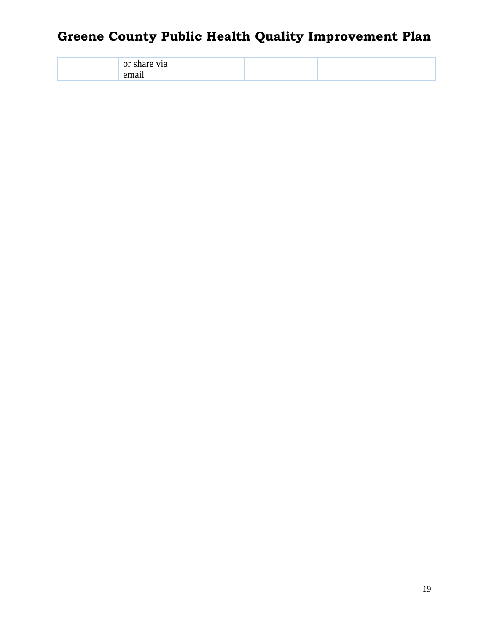| or<br>v1a<br>__<br>. |  |  |
|----------------------|--|--|
|                      |  |  |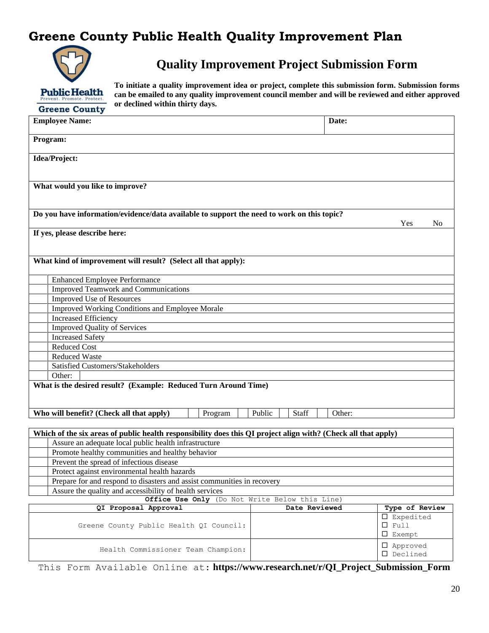

**Quality Improvement Project Submission Form**

**To initiate a quality improvement idea or project, complete this submission form. Submission forms can be emailed to any quality improvement council member and will be reviewed and either approved or declined within thirty days.** 

| <b>Employee Name:</b>                                                                                          |                 | Date:  |                                    |
|----------------------------------------------------------------------------------------------------------------|-----------------|--------|------------------------------------|
| Program:                                                                                                       |                 |        |                                    |
| Idea/Project:                                                                                                  |                 |        |                                    |
|                                                                                                                |                 |        |                                    |
|                                                                                                                |                 |        |                                    |
| What would you like to improve?                                                                                |                 |        |                                    |
|                                                                                                                |                 |        |                                    |
| Do you have information/evidence/data available to support the need to work on this topic?                     |                 |        |                                    |
|                                                                                                                |                 |        | Yes<br>N <sub>0</sub>              |
| If yes, please describe here:                                                                                  |                 |        |                                    |
|                                                                                                                |                 |        |                                    |
| What kind of improvement will result? (Select all that apply):                                                 |                 |        |                                    |
|                                                                                                                |                 |        |                                    |
| <b>Enhanced Employee Performance</b>                                                                           |                 |        |                                    |
| <b>Improved Teamwork and Communications</b>                                                                    |                 |        |                                    |
| <b>Improved Use of Resources</b>                                                                               |                 |        |                                    |
| Improved Working Conditions and Employee Morale                                                                |                 |        |                                    |
| <b>Increased Efficiency</b>                                                                                    |                 |        |                                    |
| <b>Improved Quality of Services</b>                                                                            |                 |        |                                    |
| <b>Increased Safety</b>                                                                                        |                 |        |                                    |
| <b>Reduced Cost</b>                                                                                            |                 |        |                                    |
| <b>Reduced Waste</b>                                                                                           |                 |        |                                    |
| Satisfied Customers/Stakeholders                                                                               |                 |        |                                    |
| Other:                                                                                                         |                 |        |                                    |
| What is the desired result? (Example: Reduced Turn Around Time)                                                |                 |        |                                    |
|                                                                                                                |                 |        |                                    |
| Who will benefit? (Check all that apply)<br>Program                                                            | Public<br>Staff | Other: |                                    |
|                                                                                                                |                 |        |                                    |
| Which of the six areas of public health responsibility does this QI project align with? (Check all that apply) |                 |        |                                    |
| Assure an adequate local public health infrastructure                                                          |                 |        |                                    |
| Promote healthy communities and healthy behavior                                                               |                 |        |                                    |
| Prevent the spread of infectious disease                                                                       |                 |        |                                    |
| Protect against environmental health hazards                                                                   |                 |        |                                    |
| Prepare for and respond to disasters and assist communities in recovery                                        |                 |        |                                    |
| Assure the quality and accessibility of health services                                                        |                 |        |                                    |
| Office Use Only (Do Not Write Below this Line)                                                                 |                 |        |                                    |
| QI Proposal Approval                                                                                           | Date Reviewed   |        | Type of Review                     |
|                                                                                                                |                 |        | $\square$ Expedited<br>$\Box$ Full |
| Greene County Public Health QI Council:                                                                        |                 |        | $\square$ Exempt                   |
|                                                                                                                |                 |        |                                    |
| Health Commissioner Team Champion:                                                                             |                 |        | □ Approved<br>□ Declined           |

This Form Available Online at: **https://www.research.net/r/QI\_Project\_Submission\_Form**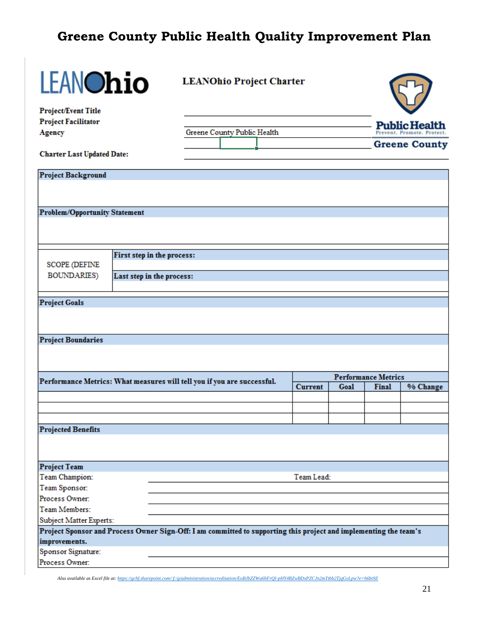| <b>LEANOhio</b>                      |                            | <b>LEANOhio Project Charter</b>                                                                                   |                |      |                            |                          |
|--------------------------------------|----------------------------|-------------------------------------------------------------------------------------------------------------------|----------------|------|----------------------------|--------------------------|
| <b>Project/Event Title</b>           |                            |                                                                                                                   |                |      |                            |                          |
| <b>Project Facilitator</b>           |                            |                                                                                                                   |                |      |                            | <b>Public Health</b>     |
| <b>Agency</b>                        |                            | Greene County Public Health                                                                                       |                |      |                            | Prevent, Promote, Protec |
| <b>Charter Last Updated Date:</b>    |                            |                                                                                                                   |                |      |                            | <b>Greene County</b>     |
| <b>Project Background</b>            |                            |                                                                                                                   |                |      |                            |                          |
|                                      |                            |                                                                                                                   |                |      |                            |                          |
| <b>Problem/Opportunity Statement</b> |                            |                                                                                                                   |                |      |                            |                          |
|                                      |                            |                                                                                                                   |                |      |                            |                          |
|                                      |                            |                                                                                                                   |                |      |                            |                          |
|                                      | First step in the process: |                                                                                                                   |                |      |                            |                          |
| <b>SCOPE (DEFINE</b>                 |                            |                                                                                                                   |                |      |                            |                          |
| <b>BOUNDARIES</b> )                  | Last step in the process:  |                                                                                                                   |                |      |                            |                          |
| <b>Project Goals</b>                 |                            |                                                                                                                   |                |      |                            |                          |
|                                      |                            |                                                                                                                   |                |      |                            |                          |
| <b>Project Boundaries</b>            |                            |                                                                                                                   |                |      |                            |                          |
|                                      |                            |                                                                                                                   |                |      |                            |                          |
|                                      |                            |                                                                                                                   |                |      | <b>Performance Metrics</b> |                          |
|                                      |                            | Performance Metrics: What measures will tell you if you are successful.                                           | <b>Current</b> | Goal | <b>Final</b>               | % Change                 |
|                                      |                            |                                                                                                                   |                |      |                            |                          |
|                                      |                            |                                                                                                                   |                |      |                            |                          |
|                                      |                            |                                                                                                                   |                |      |                            |                          |
| <b>Projected Benefits</b>            |                            |                                                                                                                   |                |      |                            |                          |
|                                      |                            |                                                                                                                   |                |      |                            |                          |
| <b>Project Team</b>                  |                            |                                                                                                                   |                |      |                            |                          |
| Team Champion:                       |                            |                                                                                                                   | Team Lead:     |      |                            |                          |
| Team Sponsor:                        |                            |                                                                                                                   |                |      |                            |                          |
| Process Owner:                       |                            |                                                                                                                   |                |      |                            |                          |
| Team Members:                        |                            |                                                                                                                   |                |      |                            |                          |
| Subject Matter Experts:              |                            |                                                                                                                   |                |      |                            |                          |
| improvements.                        |                            | Project Sponsor and Process Owner Sign-Off: I am committed to supporting this project and implementing the team's |                |      |                            |                          |
| Sponsor Signature:                   |                            |                                                                                                                   |                |      |                            |                          |
| Process Owner:                       |                            |                                                                                                                   |                |      |                            |                          |
|                                      |                            |                                                                                                                   |                |      |                            |                          |

*Also available as Excel file at[: https://gchf.sharepoint.com/:f:/g/administration/accreditation/EoBJbZZWu6hFrQl-pHY4BZwBDxPZCJn2mTtbb2TjqGvLpw?e=h6bt9Z](https://gchf.sharepoint.com/:f:/g/administration/accreditation/EoBJbZZWu6hFrQl-pHY4BZwBDxPZCJn2mTtbb2TjqGvLpw?e=h6bt9Z)*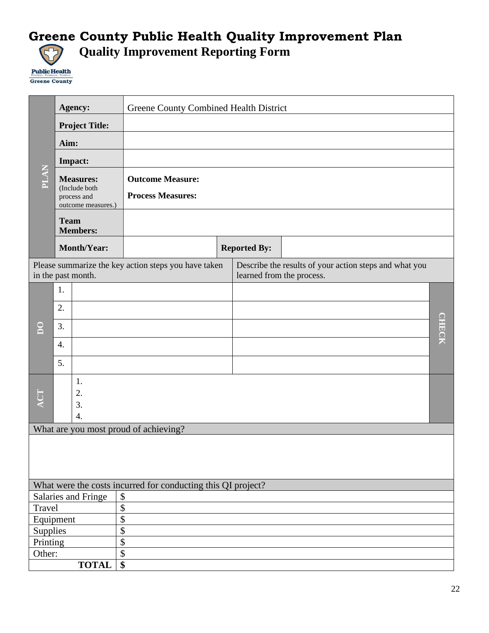# Greene County Public Health Quality Improvement Plan<br>
C<sub>1</sub> Ouality Improvement Reporting Form **Quality Improvement Reporting Form**

**Public Health** Greene County

|              |                                                                        | Agency:               |                                                              | Greene County Combined Health District |                           |                                                        |               |  |  |
|--------------|------------------------------------------------------------------------|-----------------------|--------------------------------------------------------------|----------------------------------------|---------------------------|--------------------------------------------------------|---------------|--|--|
|              |                                                                        | <b>Project Title:</b> |                                                              |                                        |                           |                                                        |               |  |  |
|              | Aim:                                                                   |                       |                                                              |                                        |                           |                                                        |               |  |  |
|              | Impact:                                                                |                       |                                                              |                                        |                           |                                                        |               |  |  |
| <b>PLAN</b>  | <b>Measures:</b><br>(Include both<br>process and<br>outcome measures.) |                       | <b>Outcome Measure:</b><br><b>Process Measures:</b>          |                                        |                           |                                                        |               |  |  |
|              | <b>Team</b>                                                            | <b>Members:</b>       |                                                              |                                        |                           |                                                        |               |  |  |
|              |                                                                        | <b>Month/Year:</b>    |                                                              |                                        | <b>Reported By:</b>       |                                                        |               |  |  |
|              |                                                                        | in the past month.    | Please summarize the key action steps you have taken         |                                        | learned from the process. | Describe the results of your action steps and what you |               |  |  |
|              | 1.                                                                     |                       |                                                              |                                        |                           |                                                        |               |  |  |
| $\mathsf{S}$ | 2.                                                                     |                       |                                                              |                                        |                           |                                                        |               |  |  |
|              | 3.                                                                     |                       |                                                              |                                        |                           |                                                        | <b>CHIECK</b> |  |  |
|              |                                                                        |                       |                                                              |                                        |                           |                                                        |               |  |  |
|              | $\overline{4}$ .                                                       |                       |                                                              |                                        |                           |                                                        |               |  |  |
|              | 5.                                                                     |                       |                                                              |                                        |                           |                                                        |               |  |  |
| ACT          |                                                                        | 1.<br>2.<br>3.<br>4.  |                                                              |                                        |                           |                                                        |               |  |  |
|              |                                                                        |                       | What are you most proud of achieving?                        |                                        |                           |                                                        |               |  |  |
|              |                                                                        |                       |                                                              |                                        |                           |                                                        |               |  |  |
|              |                                                                        |                       | What were the costs incurred for conducting this QI project? |                                        |                           |                                                        |               |  |  |
|              |                                                                        | Salaries and Fringe   | $\boldsymbol{\$}$                                            |                                        |                           |                                                        |               |  |  |
| Travel       |                                                                        |                       | $\overline{\$}$                                              |                                        |                           |                                                        |               |  |  |
| Equipment    |                                                                        |                       | \$                                                           |                                        |                           |                                                        |               |  |  |
| Supplies     |                                                                        |                       | \$                                                           |                                        |                           |                                                        |               |  |  |
| Printing     |                                                                        |                       | $\overline{\$}$                                              |                                        |                           |                                                        |               |  |  |
| Other:       |                                                                        |                       | \$                                                           |                                        |                           |                                                        |               |  |  |
|              |                                                                        | <b>TOTAL</b>          | $\overline{\$}$                                              |                                        |                           |                                                        |               |  |  |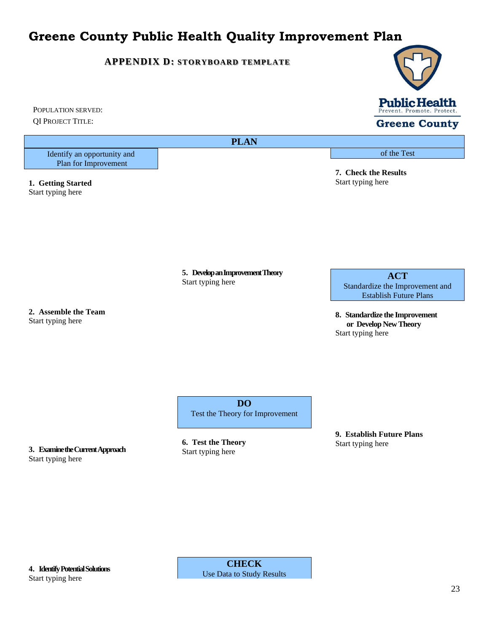#### **APPENDIX D: STORYBOARD TEMPLATE**



**Greene County** 

of the Test

**7. Check the Results** Start typing here

QI PROJECT TITLE:

POPULATION SERVED:

**PLAN**

Identify an opportunity and Plan for Improvement

**1. Getting Started** Start typing here

> **5. Develop an Improvement Theory** Start typing here

**2. Assemble the Team** Start typing here

**ACT** Standardize the Improvement and Establish Future Plans

**8. Standardize the Improvement or Develop New Theory** Start typing here

**DO** Test the Theory for Improvement

**3. Examine the Current Approach** Start typing here

**6. Test the Theory** Start typing here

**9. Establish Future Plans** Start typing here

**4. Identify Potential Solutions** Start typing here

**CHECK** Use Data to Study Results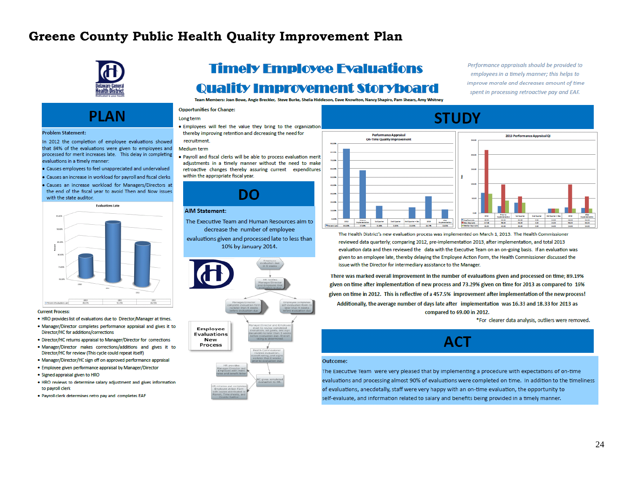

# **PIAN**

#### **Problem Statement:**

In 2012 the completion of employee evaluations showed that 84% of the evaluations were given to employees and processed for merit increases late. This delay in completing evaluations in a timely manner:

- · Causes employees to feel unappreciated and undervalued
- . Causes an increase in workload for payroll and fiscal clerks
- . Causes an increase workload for Managers/Directors at the end of the fiscal year to avoid Then and Now issues with the state auditor.



#### **Current Process:**

- . HRO provides list of evaluations due to Director/Manager at times.
- . Manager/Director completes performance appraisal and gives it to Director/HC for additions/corrections
- . Director/HC returns appraisal to Manager/Director for corrections
- . Manager/Director makes corrections/additions and gives it to Director/HC for review (This cycle could repeat itself)
- Manager/Director/HC sign off on approved performance appraisal
- · Employee given performance appraisal by Manager/Director
- · Signed appraisal given to HRO
- . HRO reviews to determine salary adjustment and gives information to pavroll clerk
- . Payroll clerk determines retro pay and completes EAF

# **Timely Employee Evaluations Quality Improvement Storyboard**

Team Members: Joan Bowe, Angie Breckler, Steve Burke, Shelia Hiddleson, Dave Knowlton, Nancy Shapiro, Pam Shears, Amy Whitney

#### **Opportunities for Change:**

#### Long term

. Employees will feel the value they bring to the organization thereby improving retention and decreasing the need for recruitment.

#### **Medium term**

. Payroll and fiscal clerks will be able to process evaluation merit adjustments in a timely manner without the need to make retroactive changes thereby assuring current expenditures within the appropriate fiscal year.

#### DO

#### **AIM Statement:**

- The Executive Team and Human Resources aim to decrease the number of employee
- evaluations given and processed late to less than 10% by January 2014.



# Employee **Evaluations** New Process

#### Performance appraisals should be provided to employees in a timely manner; this helps to improve morale and decreases amount of time spent in processing retroactive pay and EAF.



The Health District's new evaluation process was implemented on March 1, 2013. The Health Commissioner reviewed data quarterly; comparing 2012, pre-implementation 2013, after implementation, and total 2013 evaluation data and then reviewed the data with the Executive Team on an on-going basis. If an evaluation was given to an employee late, thereby delaying the Employee Action Form, the Health Commissioner discussed the issue with the Director for intermediary assistance to the Manager.

There was marked overall improvement in the number of evaluations given and processed on time; 89.19% given on time after implementation of new process and 73.29% given on time for 2013 as compared to 16% given on time in 2012. This is reflective of a 457.5% improvement after implementation of the new process! Additionally, the average number of days late after implementation was 16.33 and 18.33 for 2013 as compared to 69.00 in 2012.

\*For clearer data analysis, outliers were removed.

#### **ACT**

#### Outcome:

The Executive Team were very pleased that by implementing a procedure with expectations of on-time evaluations and processing almost 90% of evaluations were completed on time. In addition to the timeliness of evaluations, anecdotally, staff were very happy with an on-time evaluation, the opportunity to self-evaluate, and information related to salary and benefits being provided in a timely manner.